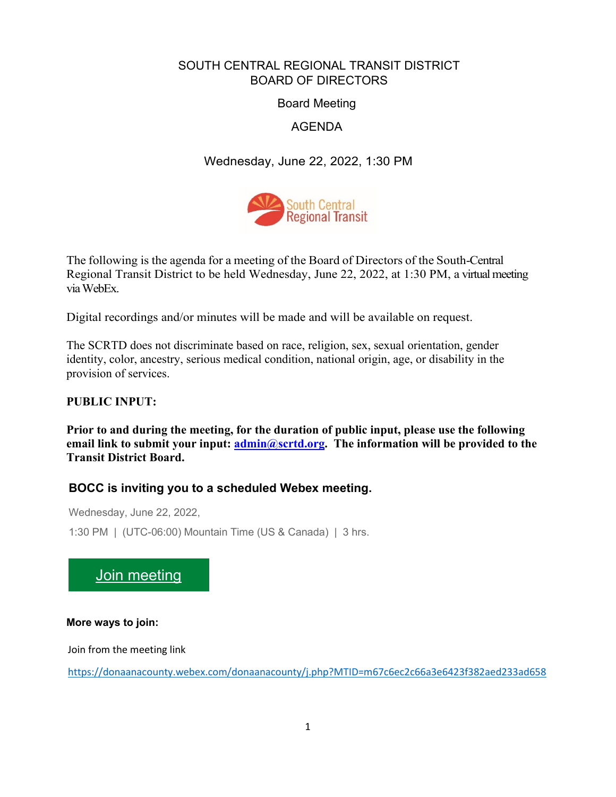# SOUTH CENTRAL REGIONAL TRANSIT DISTRICT BOARD OF DIRECTORS

Board Meeting

AGENDA

Wednesday, June 22, 2022, 1:30 PM



The following is the agenda for a meeting of the Board of Directors of the South-Central Regional Transit District to be held Wednesday, June 22, 2022, at 1:30 PM, a virtual meeting via WebEx.

Digital recordings and/or minutes will be made and will be available on request.

The SCRTD does not discriminate based on race, religion, sex, sexual orientation, gender identity, color, ancestry, serious medical condition, national origin, age, or disability in the provision of services.

# **PUBLIC INPUT:**

**Prior to and during the meeting, for the duration of public input, please use the following email link to submit your input: [admin@scrtd.org.](about:blank) The information will be provided to the Transit District Board.**

# **BOCC is inviting you to a scheduled Webex meeting.**

Wednesday, June 22, 2022,

1:30 PM | (UTC-06:00) Mountain Time (US & Canada) | 3 hrs.

[Join meeting](https://donaanacounty.webex.com/donaanacounty/j.php?MTID=m67c6ec2c66a3e6423f382aed233ad658)

**More ways to join:**

Join from the meeting link

<https://donaanacounty.webex.com/donaanacounty/j.php?MTID=m67c6ec2c66a3e6423f382aed233ad658>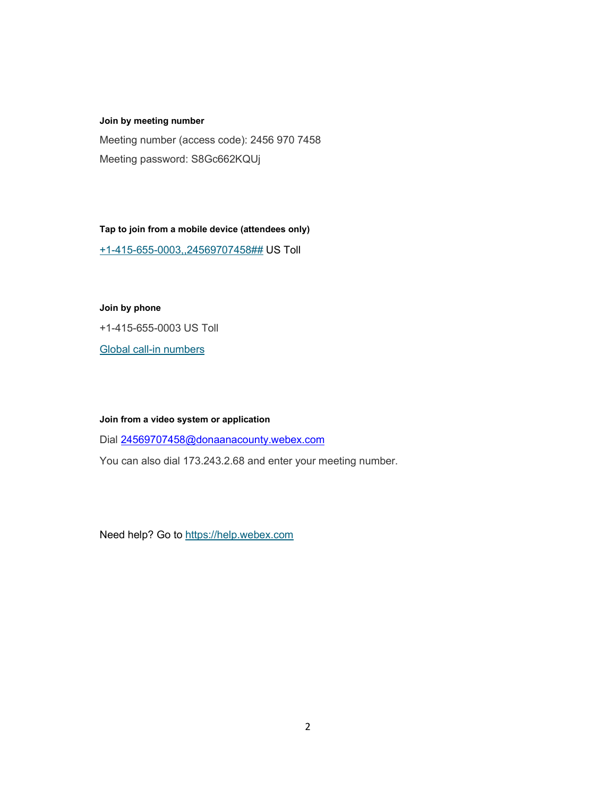#### **Join by meeting number**

Meeting number (access code): 2456 970 7458 Meeting password: S8Gc662KQUj

**Tap to join from a mobile device (attendees only)**

[+1-415-655-0003,,24569707458##](tel:%2B1-415-655-0003,,*01*24569707458%23%23*01*) US Toll

#### **Join by phone**

+1-415-655-0003 US Toll

[Global call-in numbers](https://donaanacounty.webex.com/donaanacounty/globalcallin.php?MTID=m69e90bf480590cb079c8a0ac44d84cfa)

#### **Join from a video system or application**

Dial [24569707458@donaanacounty.webex.com](mailto:24569707458@donaanacounty.webex.com)

You can also dial 173.243.2.68 and enter your meeting number.

Need help? Go to [https://help.webex.com](https://help.webex.com/)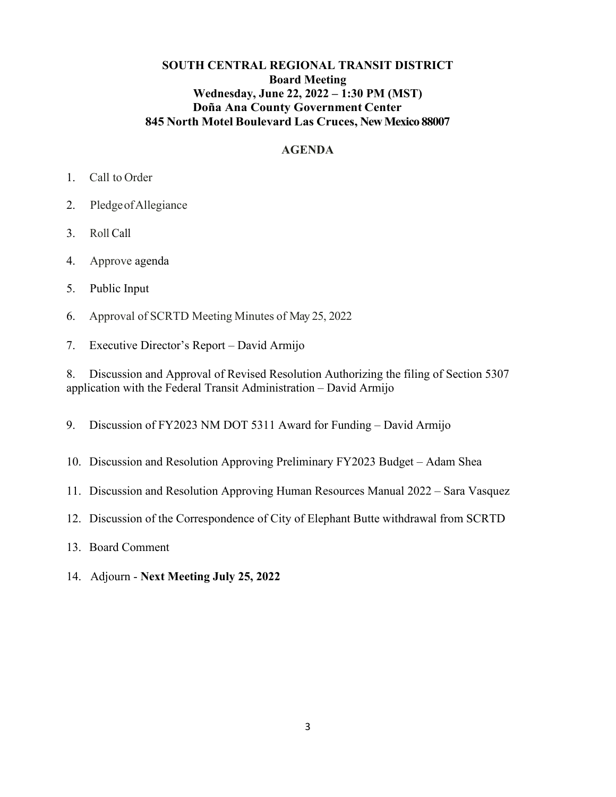## **SOUTH CENTRAL REGIONAL TRANSIT DISTRICT Board Meeting Wednesday, June 22, 2022 – 1:30 PM (MST) Doña Ana County Government Center 845 North Motel Boulevard Las Cruces, New Mexico 88007**

## **AGENDA**

- 1. Call to Order
- 2. PledgeofAllegiance
- 3. Roll Call
- 4. Approve agenda
- 5. Public Input
- 6. Approval of SCRTD Meeting Minutes of May 25, 2022
- 7. Executive Director's Report David Armijo

8. Discussion and Approval of Revised Resolution Authorizing the filing of Section 5307 application with the Federal Transit Administration – David Armijo

- 9. Discussion of FY2023 NM DOT 5311 Award for Funding David Armijo
- 10. Discussion and Resolution Approving Preliminary FY2023 Budget Adam Shea
- 11. Discussion and Resolution Approving Human Resources Manual 2022 Sara Vasquez
- 12. Discussion of the Correspondence of City of Elephant Butte withdrawal from SCRTD
- 13. Board Comment
- 14. Adjourn **Next Meeting July 25, 2022**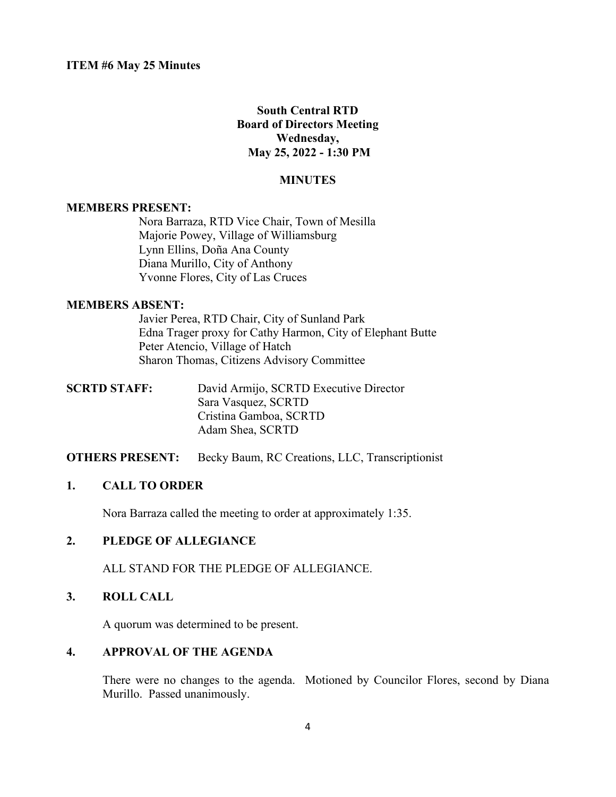## **South Central RTD Board of Directors Meeting Wednesday, May 25, 2022 - 1:30 PM**

#### **MINUTES**

#### **MEMBERS PRESENT:**

Nora Barraza, RTD Vice Chair, Town of Mesilla Majorie Powey, Village of Williamsburg Lynn Ellins, Doña Ana County Diana Murillo, City of Anthony Yvonne Flores, City of Las Cruces

#### **MEMBERS ABSENT:**

Javier Perea, RTD Chair, City of Sunland Park Edna Trager proxy for Cathy Harmon, City of Elephant Butte Peter Atencio, Village of Hatch Sharon Thomas, Citizens Advisory Committee

| <b>SCRTD STAFF:</b> | David Armijo, SCRTD Executive Director |
|---------------------|----------------------------------------|
|                     | Sara Vasquez, SCRTD                    |
|                     | Cristina Gamboa, SCRTD                 |
|                     | Adam Shea, SCRTD                       |
|                     |                                        |

#### **OTHERS PRESENT:** Becky Baum, RC Creations, LLC, Transcriptionist

#### **1. CALL TO ORDER**

Nora Barraza called the meeting to order at approximately 1:35.

### **2. PLEDGE OF ALLEGIANCE**

ALL STAND FOR THE PLEDGE OF ALLEGIANCE.

#### **3. ROLL CALL**

A quorum was determined to be present.

#### **4. APPROVAL OF THE AGENDA**

There were no changes to the agenda. Motioned by Councilor Flores, second by Diana Murillo. Passed unanimously.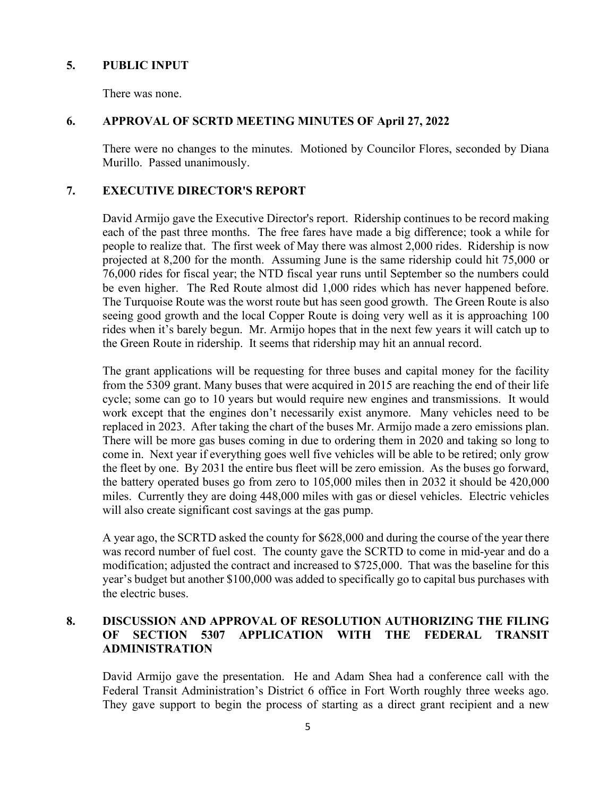### **5. PUBLIC INPUT**

There was none.

## **6. APPROVAL OF SCRTD MEETING MINUTES OF April 27, 2022**

There were no changes to the minutes. Motioned by Councilor Flores, seconded by Diana Murillo. Passed unanimously.

## **7. EXECUTIVE DIRECTOR'S REPORT**

David Armijo gave the Executive Director's report. Ridership continues to be record making each of the past three months. The free fares have made a big difference; took a while for people to realize that. The first week of May there was almost 2,000 rides. Ridership is now projected at 8,200 for the month. Assuming June is the same ridership could hit 75,000 or 76,000 rides for fiscal year; the NTD fiscal year runs until September so the numbers could be even higher. The Red Route almost did 1,000 rides which has never happened before. The Turquoise Route was the worst route but has seen good growth. The Green Route is also seeing good growth and the local Copper Route is doing very well as it is approaching 100 rides when it's barely begun. Mr. Armijo hopes that in the next few years it will catch up to the Green Route in ridership. It seems that ridership may hit an annual record.

The grant applications will be requesting for three buses and capital money for the facility from the 5309 grant. Many buses that were acquired in 2015 are reaching the end of their life cycle; some can go to 10 years but would require new engines and transmissions. It would work except that the engines don't necessarily exist anymore. Many vehicles need to be replaced in 2023. After taking the chart of the buses Mr. Armijo made a zero emissions plan. There will be more gas buses coming in due to ordering them in 2020 and taking so long to come in. Next year if everything goes well five vehicles will be able to be retired; only grow the fleet by one. By 2031 the entire bus fleet will be zero emission. As the buses go forward, the battery operated buses go from zero to 105,000 miles then in 2032 it should be 420,000 miles. Currently they are doing 448,000 miles with gas or diesel vehicles. Electric vehicles will also create significant cost savings at the gas pump.

A year ago, the SCRTD asked the county for \$628,000 and during the course of the year there was record number of fuel cost. The county gave the SCRTD to come in mid-year and do a modification; adjusted the contract and increased to \$725,000. That was the baseline for this year's budget but another \$100,000 was added to specifically go to capital bus purchases with the electric buses.

## **8. DISCUSSION AND APPROVAL OF RESOLUTION AUTHORIZING THE FILING OF SECTION 5307 APPLICATION WITH THE FEDERAL TRANSIT ADMINISTRATION**

David Armijo gave the presentation. He and Adam Shea had a conference call with the Federal Transit Administration's District 6 office in Fort Worth roughly three weeks ago. They gave support to begin the process of starting as a direct grant recipient and a new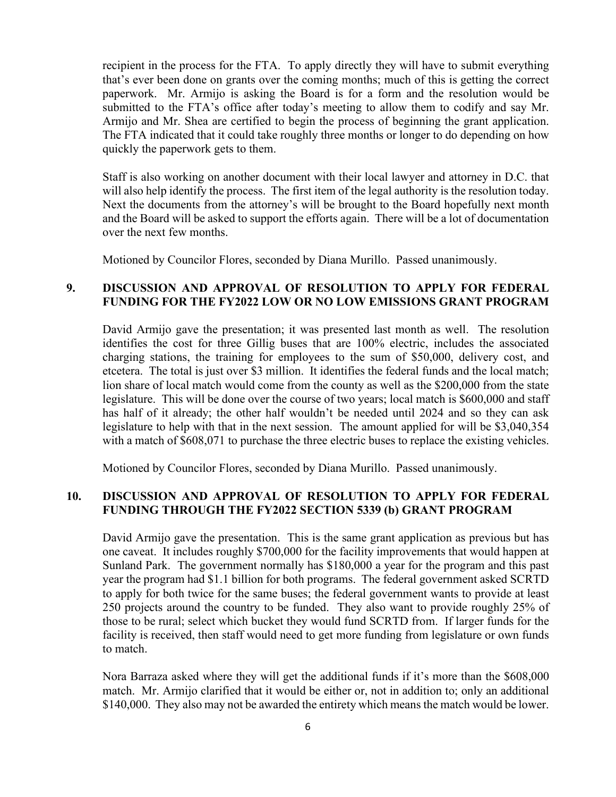recipient in the process for the FTA. To apply directly they will have to submit everything that's ever been done on grants over the coming months; much of this is getting the correct paperwork. Mr. Armijo is asking the Board is for a form and the resolution would be submitted to the FTA's office after today's meeting to allow them to codify and say Mr. Armijo and Mr. Shea are certified to begin the process of beginning the grant application. The FTA indicated that it could take roughly three months or longer to do depending on how quickly the paperwork gets to them.

Staff is also working on another document with their local lawyer and attorney in D.C. that will also help identify the process. The first item of the legal authority is the resolution today. Next the documents from the attorney's will be brought to the Board hopefully next month and the Board will be asked to support the efforts again. There will be a lot of documentation over the next few months.

Motioned by Councilor Flores, seconded by Diana Murillo. Passed unanimously.

### **9. DISCUSSION AND APPROVAL OF RESOLUTION TO APPLY FOR FEDERAL FUNDING FOR THE FY2022 LOW OR NO LOW EMISSIONS GRANT PROGRAM**

David Armijo gave the presentation; it was presented last month as well. The resolution identifies the cost for three Gillig buses that are 100% electric, includes the associated charging stations, the training for employees to the sum of \$50,000, delivery cost, and etcetera. The total is just over \$3 million. It identifies the federal funds and the local match; lion share of local match would come from the county as well as the \$200,000 from the state legislature. This will be done over the course of two years; local match is \$600,000 and staff has half of it already; the other half wouldn't be needed until 2024 and so they can ask legislature to help with that in the next session. The amount applied for will be \$3,040,354 with a match of \$608,071 to purchase the three electric buses to replace the existing vehicles.

Motioned by Councilor Flores, seconded by Diana Murillo. Passed unanimously.

### **10. DISCUSSION AND APPROVAL OF RESOLUTION TO APPLY FOR FEDERAL FUNDING THROUGH THE FY2022 SECTION 5339 (b) GRANT PROGRAM**

David Armijo gave the presentation. This is the same grant application as previous but has one caveat. It includes roughly \$700,000 for the facility improvements that would happen at Sunland Park. The government normally has \$180,000 a year for the program and this past year the program had \$1.1 billion for both programs. The federal government asked SCRTD to apply for both twice for the same buses; the federal government wants to provide at least 250 projects around the country to be funded. They also want to provide roughly 25% of those to be rural; select which bucket they would fund SCRTD from. If larger funds for the facility is received, then staff would need to get more funding from legislature or own funds to match.

Nora Barraza asked where they will get the additional funds if it's more than the \$608,000 match. Mr. Armijo clarified that it would be either or, not in addition to; only an additional \$140,000. They also may not be awarded the entirety which means the match would be lower.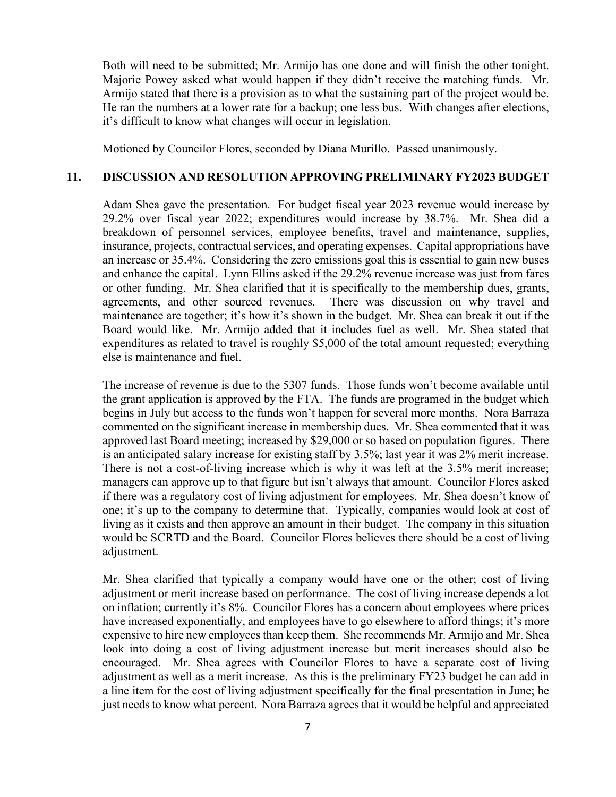Both will need to be submitted; Mr. Armijo has one done and will finish the other tonight. Majorie Powey asked what would happen if they didn't receive the matching funds. Mr. Armijo stated that there is a provision as to what the sustaining part of the project would be. He ran the numbers at a lower rate for a backup; one less bus. With changes after elections, it's difficult to know what changes will occur in legislation.

Motioned by Councilor Flores, seconded by Diana Murillo. Passed unanimously.

#### **11. DISCUSSION AND RESOLUTION APPROVING PRELIMINARY FY2023 BUDGET**

Adam Shea gave the presentation. For budget fiscal year 2023 revenue would increase by 29.2% over fiscal year 2022; expenditures would increase by 38.7%. Mr. Shea did a breakdown of personnel services, employee benefits, travel and maintenance, supplies, insurance, projects, contractual services, and operating expenses. Capital appropriations have an increase or 35.4%. Considering the zero emissions goal this is essential to gain new buses and enhance the capital. Lynn Ellins asked if the 29.2% revenue increase was just from fares or other funding. Mr. Shea clarified that it is specifically to the membership dues, grants, agreements, and other sourced revenues. There was discussion on why travel and maintenance are together; it's how it's shown in the budget. Mr. Shea can break it out if the Board would like. Mr. Armijo added that it includes fuel as well. Mr. Shea stated that expenditures as related to travel is roughly \$5,000 of the total amount requested; everything else is maintenance and fuel.

The increase of revenue is due to the 5307 funds. Those funds won't become available until the grant application is approved by the FTA. The funds are programed in the budget which begins in July but access to the funds won't happen for several more months. Nora Barraza commented on the significant increase in membership dues. Mr. Shea commented that it was approved last Board meeting; increased by \$29,000 or so based on population figures. There is an anticipated salary increase for existing staff by 3.5%; last year it was 2% merit increase. There is not a cost-of-living increase which is why it was left at the 3.5% merit increase; managers can approve up to that figure but isn't always that amount. Councilor Flores asked if there was a regulatory cost of living adjustment for employees. Mr. Shea doesn't know of one; it's up to the company to determine that. Typically, companies would look at cost of living as it exists and then approve an amount in their budget. The company in this situation would be SCRTD and the Board. Councilor Flores believes there should be a cost of living adjustment.

Mr. Shea clarified that typically a company would have one or the other; cost of living adjustment or merit increase based on performance. The cost of living increase depends a lot on inflation; currently it's 8%. Councilor Flores has a concern about employees where prices have increased exponentially, and employees have to go elsewhere to afford things; it's more expensive to hire new employees than keep them. She recommends Mr. Armijo and Mr. Shea look into doing a cost of living adjustment increase but merit increases should also be encouraged. Mr. Shea agrees with Councilor Flores to have a separate cost of living adjustment as well as a merit increase. As this is the preliminary FY23 budget he can add in a line item for the cost of living adjustment specifically for the final presentation in June; he just needs to know what percent. Nora Barraza agrees that it would be helpful and appreciated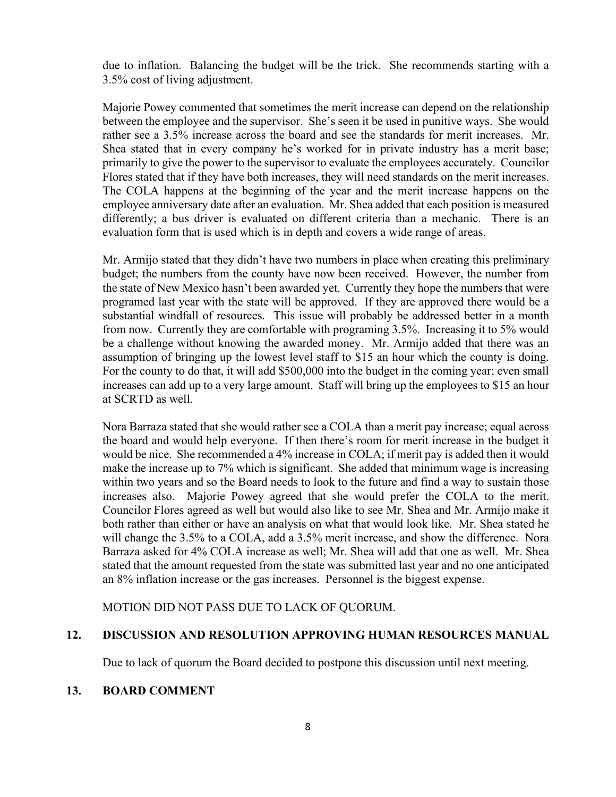due to inflation. Balancing the budget will be the trick. She recommends starting with a 3.5% cost of living adjustment.

Majorie Powey commented that sometimes the merit increase can depend on the relationship between the employee and the supervisor. She's seen it be used in punitive ways. She would rather see a 3.5% increase across the board and see the standards for merit increases. Mr. Shea stated that in every company he's worked for in private industry has a merit base; primarily to give the power to the supervisor to evaluate the employees accurately. Councilor Flores stated that if they have both increases, they will need standards on the merit increases. The COLA happens at the beginning of the year and the merit increase happens on the employee anniversary date after an evaluation. Mr. Shea added that each position is measured differently; a bus driver is evaluated on different criteria than a mechanic. There is an evaluation form that is used which is in depth and covers a wide range of areas.

Mr. Armijo stated that they didn't have two numbers in place when creating this preliminary budget; the numbers from the county have now been received. However, the number from the state of New Mexico hasn't been awarded yet. Currently they hope the numbers that were programed last year with the state will be approved. If they are approved there would be a substantial windfall of resources. This issue will probably be addressed better in a month from now. Currently they are comfortable with programing 3.5%. Increasing it to 5% would be a challenge without knowing the awarded money. Mr. Armijo added that there was an assumption of bringing up the lowest level staff to \$15 an hour which the county is doing. For the county to do that, it will add \$500,000 into the budget in the coming year; even small increases can add up to a very large amount. Staff will bring up the employees to \$15 an hour at SCRTD as well.

Nora Barraza stated that she would rather see a COLA than a merit pay increase; equal across the board and would help everyone. If then there's room for merit increase in the budget it would be nice. She recommended a 4% increase in COLA; if merit pay is added then it would make the increase up to 7% which is significant. She added that minimum wage is increasing within two years and so the Board needs to look to the future and find a way to sustain those increases also. Majorie Powey agreed that she would prefer the COLA to the merit. Councilor Flores agreed as well but would also like to see Mr. Shea and Mr. Armijo make it both rather than either or have an analysis on what that would look like. Mr. Shea stated he will change the 3.5% to a COLA, add a 3.5% merit increase, and show the difference. Nora Barraza asked for 4% COLA increase as well; Mr. Shea will add that one as well. Mr. Shea stated that the amount requested from the state was submitted last year and no one anticipated an 8% inflation increase or the gas increases. Personnel is the biggest expense.

MOTION DID NOT PASS DUE TO LACK OF QUORUM.

#### **12. DISCUSSION AND RESOLUTION APPROVING HUMAN RESOURCES MANUAL**

Due to lack of quorum the Board decided to postpone this discussion until next meeting.

#### **13. BOARD COMMENT**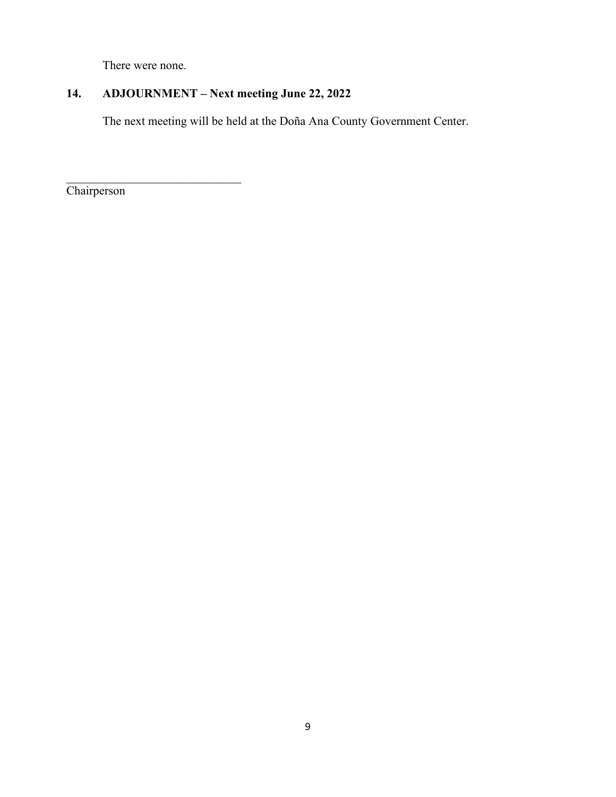There were none.

 $\mathcal{L}_\mathcal{L}$  , which is a set of the set of the set of the set of the set of the set of the set of the set of the set of the set of the set of the set of the set of the set of the set of the set of the set of the set of

# **14. ADJOURNMENT – Next meeting June 22, 2022**

The next meeting will be held at the Doña Ana County Government Center.

**Chairperson**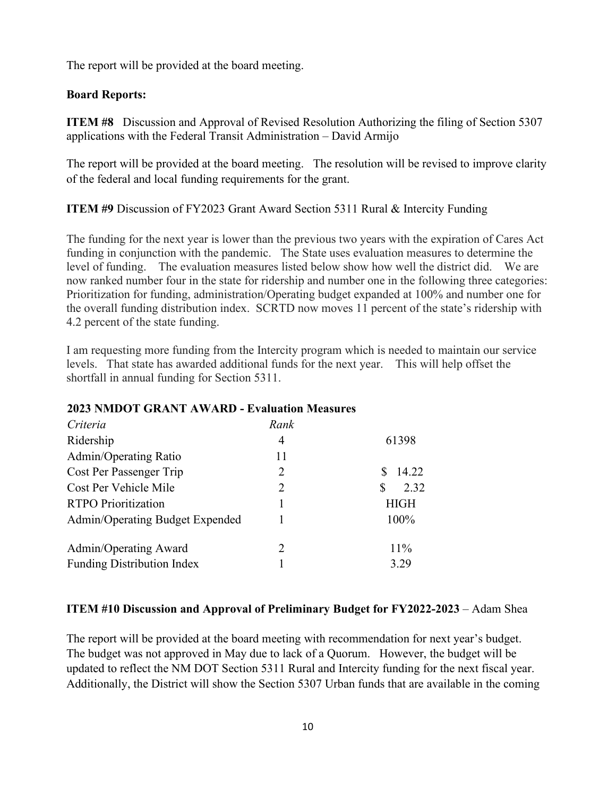The report will be provided at the board meeting.

## **Board Reports:**

**ITEM #8** Discussion and Approval of Revised Resolution Authorizing the filing of Section 5307 applications with the Federal Transit Administration – David Armijo

The report will be provided at the board meeting. The resolution will be revised to improve clarity of the federal and local funding requirements for the grant.

**ITEM #9** Discussion of FY2023 Grant Award Section 5311 Rural & Intercity Funding

The funding for the next year is lower than the previous two years with the expiration of Cares Act funding in conjunction with the pandemic. The State uses evaluation measures to determine the level of funding. The evaluation measures listed below show how well the district did. We are now ranked number four in the state for ridership and number one in the following three categories: Prioritization for funding, administration/Operating budget expanded at 100% and number one for the overall funding distribution index. SCRTD now moves 11 percent of the state's ridership with 4.2 percent of the state funding.

I am requesting more funding from the Intercity program which is needed to maintain our service levels. That state has awarded additional funds for the next year. This will help offset the shortfall in annual funding for Section 5311.

### **2023 NMDOT GRANT AWARD - Evaluation Measures**

| Rank |             |
|------|-------------|
| 4    | 61398       |
| 11   |             |
| 2    | 14.22       |
| 2    | 2.32<br>S.  |
|      | <b>HIGH</b> |
|      | 100%        |
| 2    | $11\%$      |
|      | 3.29        |
|      |             |

### **ITEM #10 Discussion and Approval of Preliminary Budget for FY2022-2023** – Adam Shea

The report will be provided at the board meeting with recommendation for next year's budget. The budget was not approved in May due to lack of a Quorum. However, the budget will be updated to reflect the NM DOT Section 5311 Rural and Intercity funding for the next fiscal year. Additionally, the District will show the Section 5307 Urban funds that are available in the coming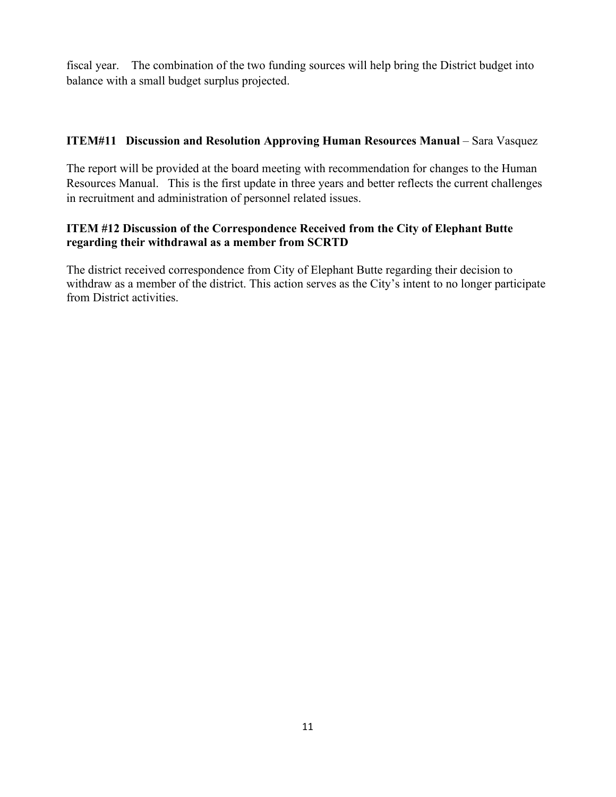fiscal year. The combination of the two funding sources will help bring the District budget into balance with a small budget surplus projected.

# **ITEM#11 Discussion and Resolution Approving Human Resources Manual** – Sara Vasquez

The report will be provided at the board meeting with recommendation for changes to the Human Resources Manual. This is the first update in three years and better reflects the current challenges in recruitment and administration of personnel related issues.

## **ITEM #12 Discussion of the Correspondence Received from the City of Elephant Butte regarding their withdrawal as a member from SCRTD**

The district received correspondence from City of Elephant Butte regarding their decision to withdraw as a member of the district. This action serves as the City's intent to no longer participate from District activities.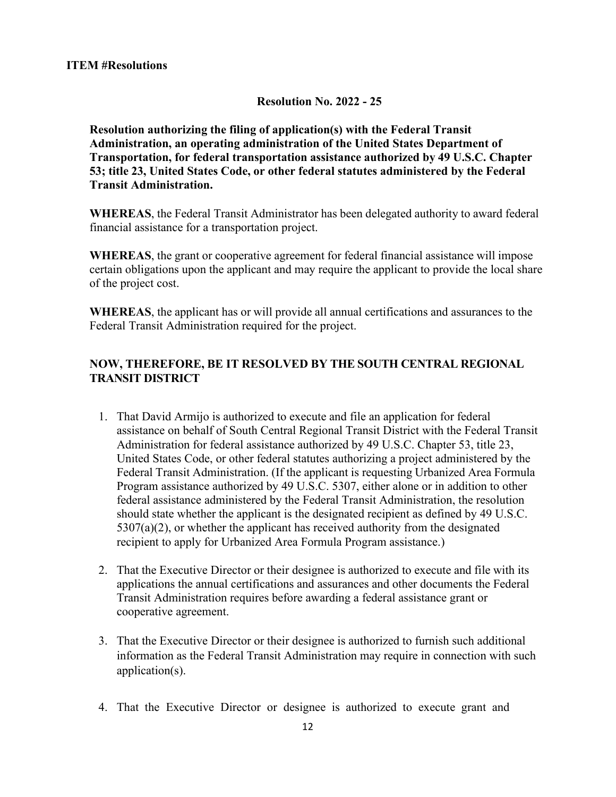#### **Resolution No. 2022 - 25**

**Resolution authorizing the filing of application(s) with the Federal Transit Administration, an operating administration of the United States Department of Transportation, for federal transportation assistance authorized by 49 U.S.C. Chapter 53; title 23, United States Code, or other federal statutes administered by the Federal Transit Administration.**

**WHEREAS**, the Federal Transit Administrator has been delegated authority to award federal financial assistance for a transportation project.

**WHEREAS**, the grant or cooperative agreement for federal financial assistance will impose certain obligations upon the applicant and may require the applicant to provide the local share of the project cost.

**WHEREAS**, the applicant has or will provide all annual certifications and assurances to the Federal Transit Administration required for the project.

## **NOW, THEREFORE, BE IT RESOLVED BY THE SOUTH CENTRAL REGIONAL TRANSIT DISTRICT**

- 1. That David Armijo is authorized to execute and file an application for federal assistance on behalf of South Central Regional Transit District with the Federal Transit Administration for federal assistance authorized by 49 U.S.C. Chapter 53, title 23, United States Code, or other federal statutes authorizing a project administered by the Federal Transit Administration. (If the applicant is requesting Urbanized Area Formula Program assistance authorized by 49 U.S.C. 5307, either alone or in addition to other federal assistance administered by the Federal Transit Administration, the resolution should state whether the applicant is the designated recipient as defined by 49 U.S.C.  $5307(a)(2)$ , or whether the applicant has received authority from the designated recipient to apply for Urbanized Area Formula Program assistance.)
- 2. That the Executive Director or their designee is authorized to execute and file with its applications the annual certifications and assurances and other documents the Federal Transit Administration requires before awarding a federal assistance grant or cooperative agreement.
- 3. That the Executive Director or their designee is authorized to furnish such additional information as the Federal Transit Administration may require in connection with such application(s).
- 4. That the Executive Director or designee is authorized to execute grant and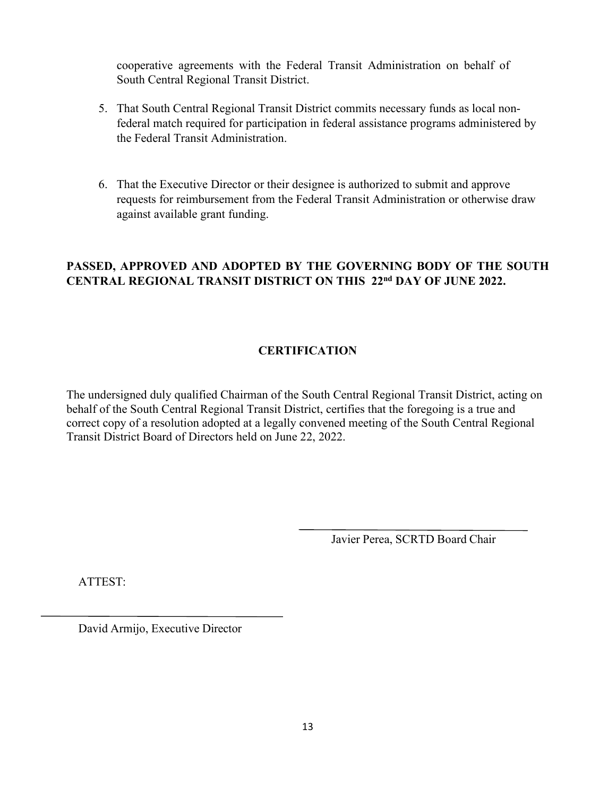cooperative agreements with the Federal Transit Administration on behalf of South Central Regional Transit District.

- 5. That South Central Regional Transit District commits necessary funds as local nonfederal match required for participation in federal assistance programs administered by the Federal Transit Administration.
- 6. That the Executive Director or their designee is authorized to submit and approve requests for reimbursement from the Federal Transit Administration or otherwise draw against available grant funding.

# **PASSED, APPROVED AND ADOPTED BY THE GOVERNING BODY OF THE SOUTH CENTRAL REGIONAL TRANSIT DISTRICT ON THIS 22nd DAY OF JUNE 2022.**

# **CERTIFICATION**

The undersigned duly qualified Chairman of the South Central Regional Transit District, acting on behalf of the South Central Regional Transit District, certifies that the foregoing is a true and correct copy of a resolution adopted at a legally convened meeting of the South Central Regional Transit District Board of Directors held on June 22, 2022.

Javier Perea, SCRTD Board Chair

ATTEST:

David Armijo, Executive Director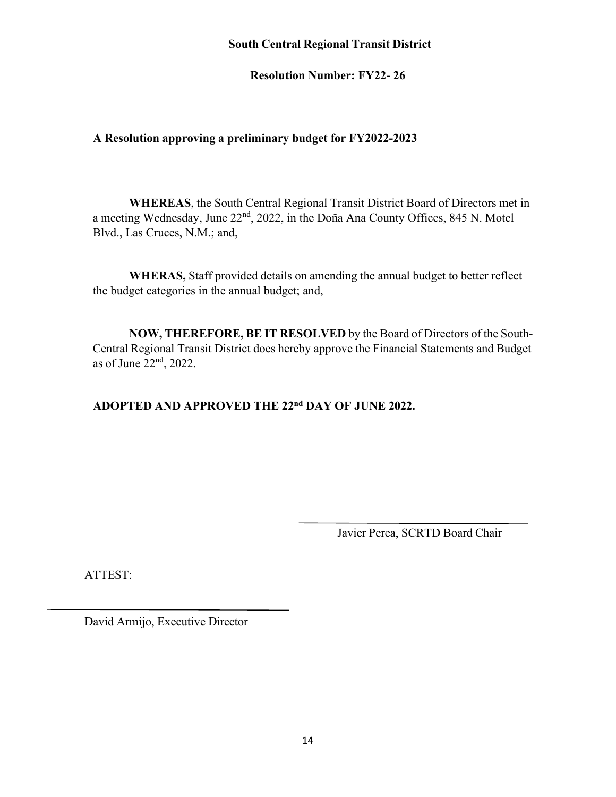## **South Central Regional Transit District**

**Resolution Number: FY22- 26** 

# **A Resolution approving a preliminary budget for FY2022-2023**

**WHEREAS**, the South Central Regional Transit District Board of Directors met in a meeting Wednesday, June 22nd, 2022, in the Doña Ana County Offices, 845 N. Motel Blvd., Las Cruces, N.M.; and,

**WHERAS,** Staff provided details on amending the annual budget to better reflect the budget categories in the annual budget; and,

**NOW, THEREFORE, BE IT RESOLVED** by the Board of Directors of the South-Central Regional Transit District does hereby approve the Financial Statements and Budget as of June 22nd, 2022.

# **ADOPTED AND APPROVED THE 22nd DAY OF JUNE 2022.**

Javier Perea, SCRTD Board Chair

ATTEST:

David Armijo, Executive Director